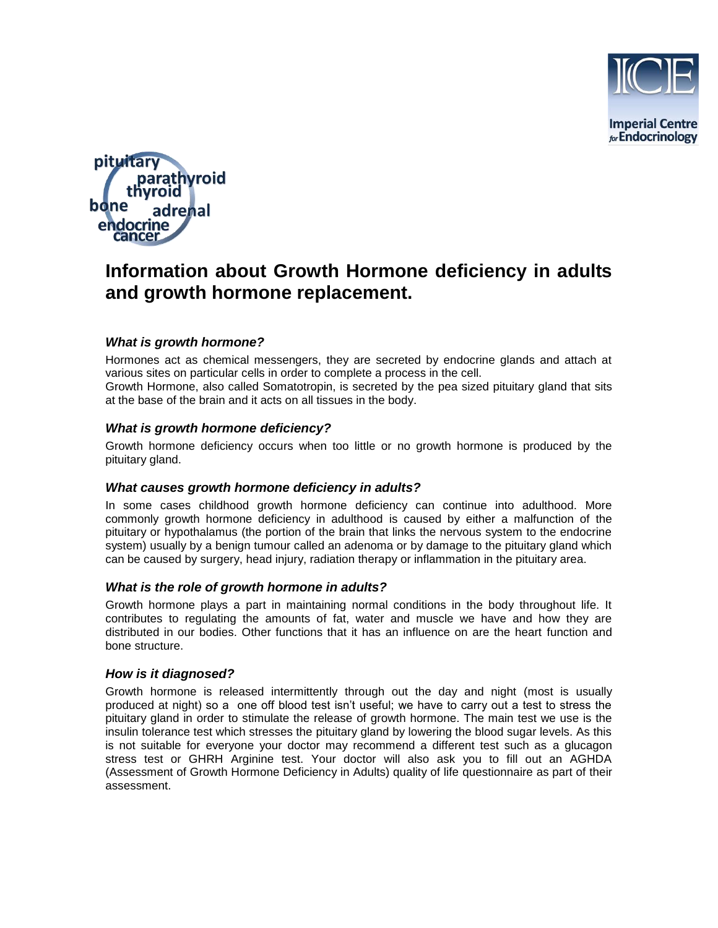



# **Information about Growth Hormone deficiency in adults and growth hormone replacement.**

# *What is growth hormone?*

Hormones act as chemical messengers, they are secreted by endocrine glands and attach at various sites on particular cells in order to complete a process in the cell. Growth Hormone, also called Somatotropin, is secreted by the pea sized pituitary gland that sits at the base of the brain and it acts on all tissues in the body.

## *What is growth hormone deficiency?*

Growth hormone deficiency occurs when too little or no growth hormone is produced by the pituitary gland.

## *What causes growth hormone deficiency in adults?*

In some cases childhood growth hormone deficiency can continue into adulthood. More commonly growth hormone deficiency in adulthood is caused by either a malfunction of the pituitary or hypothalamus (the portion of the brain that links the nervous system to the endocrine system) usually by a benign tumour called an adenoma or by damage to the pituitary gland which can be caused by surgery, head injury, radiation therapy or inflammation in the pituitary area.

## *What is the role of growth hormone in adults?*

Growth hormone plays a part in maintaining normal conditions in the body throughout life. It contributes to regulating the amounts of fat, water and muscle we have and how they are distributed in our bodies. Other functions that it has an influence on are the heart function and bone structure.

## *How is it diagnosed?*

Growth hormone is released intermittently through out the day and night (most is usually produced at night) so a one off blood test isn't useful; we have to carry out a test to stress the pituitary gland in order to stimulate the release of growth hormone. The main test we use is the insulin tolerance test which stresses the pituitary gland by lowering the blood sugar levels. As this is not suitable for everyone your doctor may recommend a different test such as a glucagon stress test or GHRH Arginine test. Your doctor will also ask you to fill out an AGHDA (Assessment of Growth Hormone Deficiency in Adults) quality of life questionnaire as part of their assessment.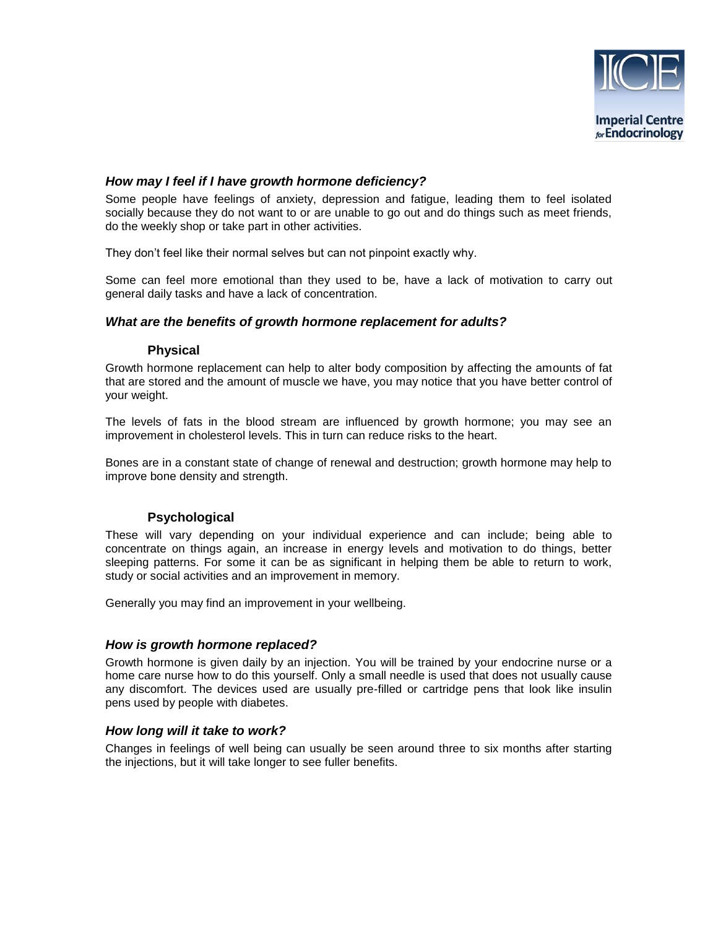

**Imperial Centre** for Endocrinology

## *How may I feel if I have growth hormone deficiency?*

Some people have feelings of anxiety, depression and fatigue, leading them to feel isolated socially because they do not want to or are unable to go out and do things such as meet friends, do the weekly shop or take part in other activities.

They don't feel like their normal selves but can not pinpoint exactly why.

Some can feel more emotional than they used to be, have a lack of motivation to carry out general daily tasks and have a lack of concentration.

## *What are the benefits of growth hormone replacement for adults?*

#### **Physical**

Growth hormone replacement can help to alter body composition by affecting the amounts of fat that are stored and the amount of muscle we have, you may notice that you have better control of your weight.

The levels of fats in the blood stream are influenced by growth hormone; you may see an improvement in cholesterol levels. This in turn can reduce risks to the heart.

Bones are in a constant state of change of renewal and destruction; growth hormone may help to improve bone density and strength.

## **Psychological**

These will vary depending on your individual experience and can include; being able to concentrate on things again, an increase in energy levels and motivation to do things, better sleeping patterns. For some it can be as significant in helping them be able to return to work, study or social activities and an improvement in memory.

Generally you may find an improvement in your wellbeing.

#### *How is growth hormone replaced?*

Growth hormone is given daily by an injection. You will be trained by your endocrine nurse or a home care nurse how to do this yourself. Only a small needle is used that does not usually cause any discomfort. The devices used are usually pre-filled or cartridge pens that look like insulin pens used by people with diabetes.

#### *How long will it take to work?*

Changes in feelings of well being can usually be seen around three to six months after starting the injections, but it will take longer to see fuller benefits.